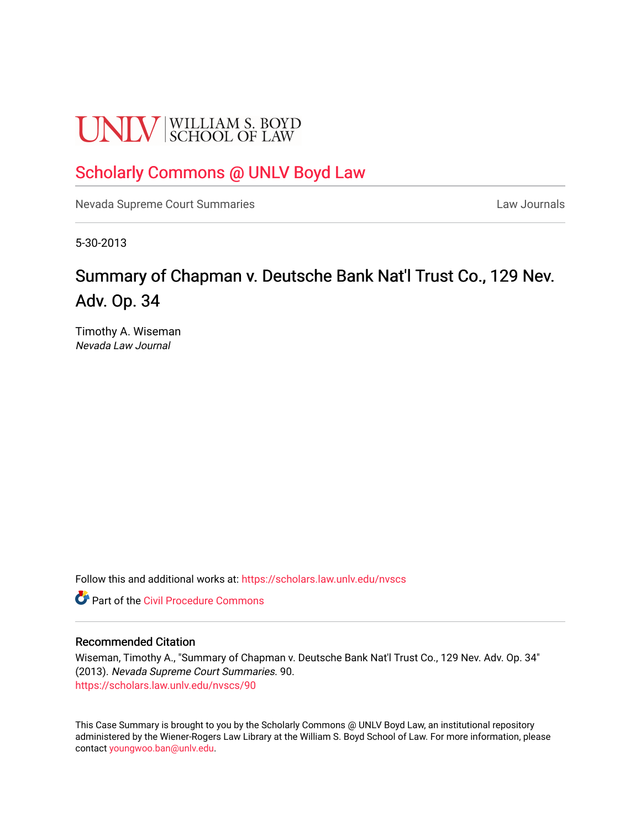# **UNLV** SCHOOL OF LAW

### [Scholarly Commons @ UNLV Boyd Law](https://scholars.law.unlv.edu/)

[Nevada Supreme Court Summaries](https://scholars.law.unlv.edu/nvscs) **Law Journals** Law Journals

5-30-2013

## Summary of Chapman v. Deutsche Bank Nat'l Trust Co., 129 Nev. Adv. Op. 34

Timothy A. Wiseman Nevada Law Journal

Follow this and additional works at: [https://scholars.law.unlv.edu/nvscs](https://scholars.law.unlv.edu/nvscs?utm_source=scholars.law.unlv.edu%2Fnvscs%2F90&utm_medium=PDF&utm_campaign=PDFCoverPages)

**C** Part of the Civil Procedure Commons

#### Recommended Citation

Wiseman, Timothy A., "Summary of Chapman v. Deutsche Bank Nat'l Trust Co., 129 Nev. Adv. Op. 34" (2013). Nevada Supreme Court Summaries. 90. [https://scholars.law.unlv.edu/nvscs/90](https://scholars.law.unlv.edu/nvscs/90?utm_source=scholars.law.unlv.edu%2Fnvscs%2F90&utm_medium=PDF&utm_campaign=PDFCoverPages) 

This Case Summary is brought to you by the Scholarly Commons @ UNLV Boyd Law, an institutional repository administered by the Wiener-Rogers Law Library at the William S. Boyd School of Law. For more information, please contact [youngwoo.ban@unlv.edu](mailto:youngwoo.ban@unlv.edu).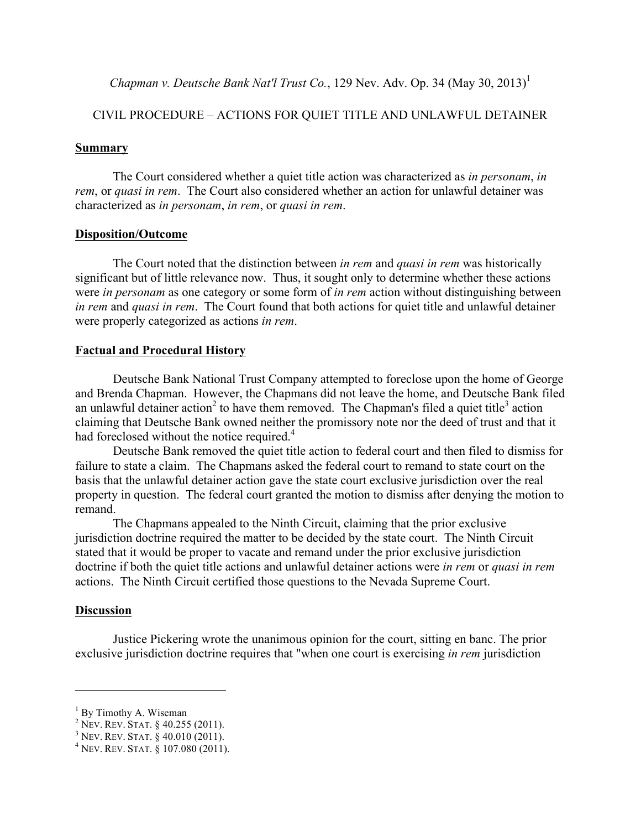*Chapman v. Deutsche Bank Nat'l Trust Co.*, 129 Nev. Adv. Op. 34 (May 30, 2013)<sup>1</sup>

#### CIVIL PROCEDURE – ACTIONS FOR QUIET TITLE AND UNLAWFUL DETAINER

#### **Summary**

The Court considered whether a quiet title action was characterized as *in personam*, *in rem*, or *quasi in rem*. The Court also considered whether an action for unlawful detainer was characterized as *in personam*, *in rem*, or *quasi in rem*.

#### **Disposition/Outcome**

The Court noted that the distinction between *in rem* and *quasi in rem* was historically significant but of little relevance now. Thus, it sought only to determine whether these actions were *in personam* as one category or some form of *in rem* action without distinguishing between *in rem* and *quasi in rem*. The Court found that both actions for quiet title and unlawful detainer were properly categorized as actions *in rem*.

#### **Factual and Procedural History**

Deutsche Bank National Trust Company attempted to foreclose upon the home of George and Brenda Chapman. However, the Chapmans did not leave the home, and Deutsche Bank filed an unlawful detainer action<sup>2</sup> to have them removed. The Chapman's filed a quiet title<sup>3</sup> action claiming that Deutsche Bank owned neither the promissory note nor the deed of trust and that it had foreclosed without the notice required.<sup>4</sup>

Deutsche Bank removed the quiet title action to federal court and then filed to dismiss for failure to state a claim. The Chapmans asked the federal court to remand to state court on the basis that the unlawful detainer action gave the state court exclusive jurisdiction over the real property in question. The federal court granted the motion to dismiss after denying the motion to remand.

The Chapmans appealed to the Ninth Circuit, claiming that the prior exclusive jurisdiction doctrine required the matter to be decided by the state court. The Ninth Circuit stated that it would be proper to vacate and remand under the prior exclusive jurisdiction doctrine if both the quiet title actions and unlawful detainer actions were *in rem* or *quasi in rem* actions. The Ninth Circuit certified those questions to the Nevada Supreme Court.

#### **Discussion**

 $\overline{a}$ 

Justice Pickering wrote the unanimous opinion for the court, sitting en banc. The prior exclusive jurisdiction doctrine requires that "when one court is exercising *in rem* jurisdiction

<sup>&</sup>lt;sup>1</sup> By Timothy A. Wiseman <sup>2</sup> Nev. Rev. STAT. § 40.255 (2011).

<sup>&</sup>lt;sup>3</sup> NEV. REV. STAT. § 40.010 (2011).<br><sup>4</sup> NEV. REV. STAT. § 107.080 (2011).